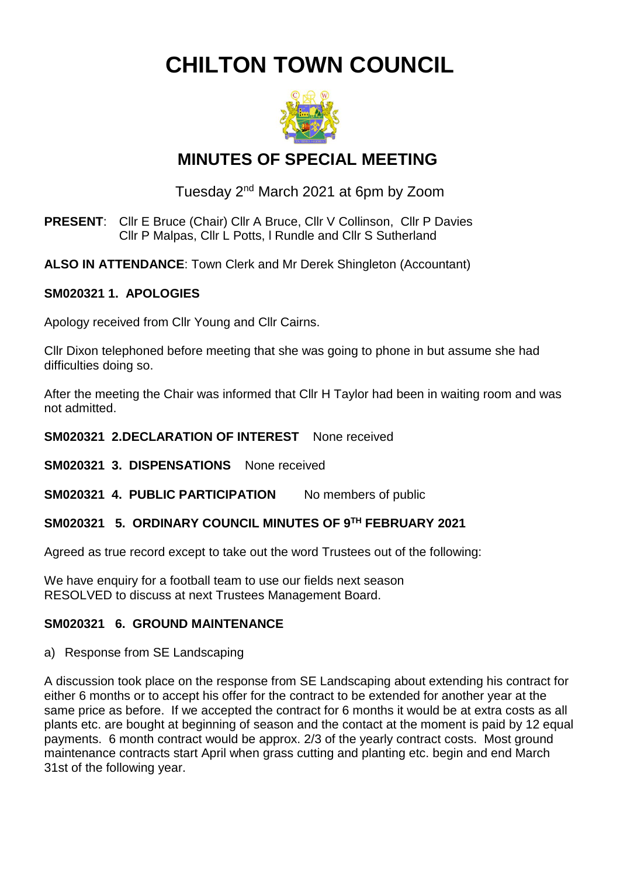**CHILTON TOWN COUNCIL**



# **MINUTES OF SPECIAL MEETING**

Tuesday 2<sup>nd</sup> March 2021 at 6pm by Zoom

- **PRESENT**: Cllr E Bruce (Chair) Cllr A Bruce, Cllr V Collinson, Cllr P Davies Cllr P Malpas, Cllr L Potts, l Rundle and Cllr S Sutherland
- **ALSO IN ATTENDANCE**: Town Clerk and Mr Derek Shingleton (Accountant)

#### **SM020321 1. APOLOGIES**

Apology received from Cllr Young and Cllr Cairns.

Cllr Dixon telephoned before meeting that she was going to phone in but assume she had difficulties doing so.

After the meeting the Chair was informed that Cllr H Taylor had been in waiting room and was not admitted.

#### **SM020321 2.DECLARATION OF INTEREST** None received

**SM020321 3. DISPENSATIONS** None received

**SM020321 4. PUBLIC PARTICIPATION** No members of public

# **SM020321 5. ORDINARY COUNCIL MINUTES OF 9 TH FEBRUARY 2021**

Agreed as true record except to take out the word Trustees out of the following:

We have enquiry for a football team to use our fields next season RESOLVED to discuss at next Trustees Management Board.

# **SM020321 6. GROUND MAINTENANCE**

a) Response from SE Landscaping

A discussion took place on the response from SE Landscaping about extending his contract for either 6 months or to accept his offer for the contract to be extended for another year at the same price as before. If we accepted the contract for 6 months it would be at extra costs as all plants etc. are bought at beginning of season and the contact at the moment is paid by 12 equal payments. 6 month contract would be approx. 2/3 of the yearly contract costs. Most ground maintenance contracts start April when grass cutting and planting etc. begin and end March 31st of the following year.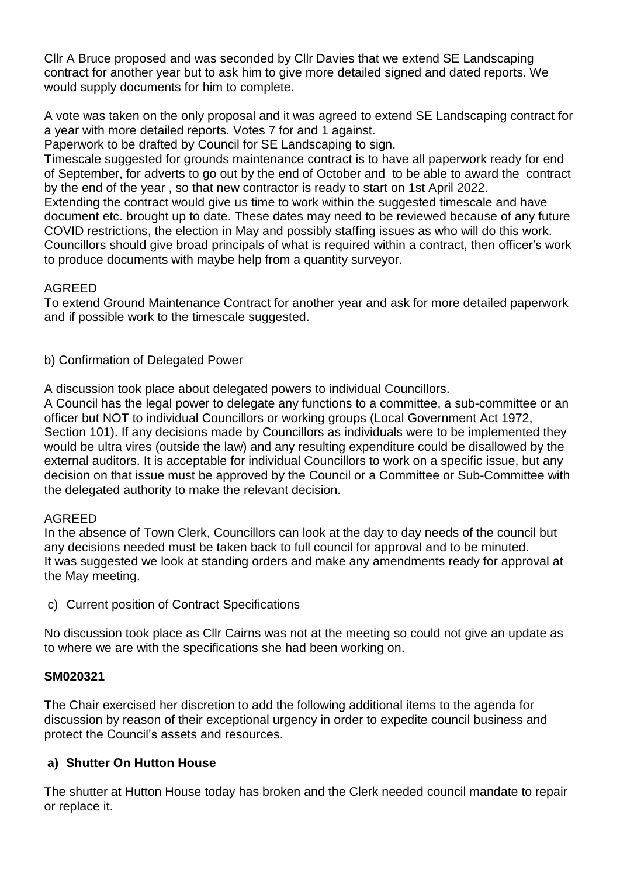Cllr A Bruce proposed and was seconded by Cllr Davies that we extend SE Landscaping contract for another year but to ask him to give more detailed signed and dated reports. We would supply documents for him to complete.

A vote was taken on the only proposal and it was agreed to extend SE Landscaping contract for a year with more detailed reports. Votes 7 for and 1 against.

Paperwork to be drafted by Council for SE Landscaping to sign.

Timescale suggested for grounds maintenance contract is to have all paperwork ready for end of September, for adverts to go out by the end of October and to be able to award the contract by the end of the year , so that new contractor is ready to start on 1st April 2022.

Extending the contract would give us time to work within the suggested timescale and have document etc. brought up to date. These dates may need to be reviewed because of any future COVID restrictions, the election in May and possibly staffing issues as who will do this work. Councillors should give broad principals of what is required within a contract, then officer's work to produce documents with maybe help from a quantity surveyor.

#### AGREED

To extend Ground Maintenance Contract for another year and ask for more detailed paperwork and if possible work to the timescale suggested.

b) Confirmation of Delegated Power

A discussion took place about delegated powers to individual Councillors.

A Council has the legal power to delegate any functions to a committee, a sub-committee or an officer but NOT to individual Councillors or working groups (Local Government Act 1972, Section 101). If any decisions made by Councillors as individuals were to be implemented they would be ultra vires (outside the law) and any resulting expenditure could be disallowed by the external auditors. It is acceptable for individual Councillors to work on a specific issue, but any decision on that issue must be approved by the Council or a Committee or Sub-Committee with the delegated authority to make the relevant decision.

# AGREED

In the absence of Town Clerk, Councillors can look at the day to day needs of the council but any decisions needed must be taken back to full council for approval and to be minuted. It was suggested we look at standing orders and make any amendments ready for approval at the May meeting.

c) Current position of Contract Specifications

No discussion took place as Cllr Cairns was not at the meeting so could not give an update as to where we are with the specifications she had been working on.

# **SM020321**

The Chair exercised her discretion to add the following additional items to the agenda for discussion by reason of their exceptional urgency in order to expedite council business and protect the Council's assets and resources.

# **a) Shutter On Hutton House**

The shutter at Hutton House today has broken and the Clerk needed council mandate to repair or replace it.